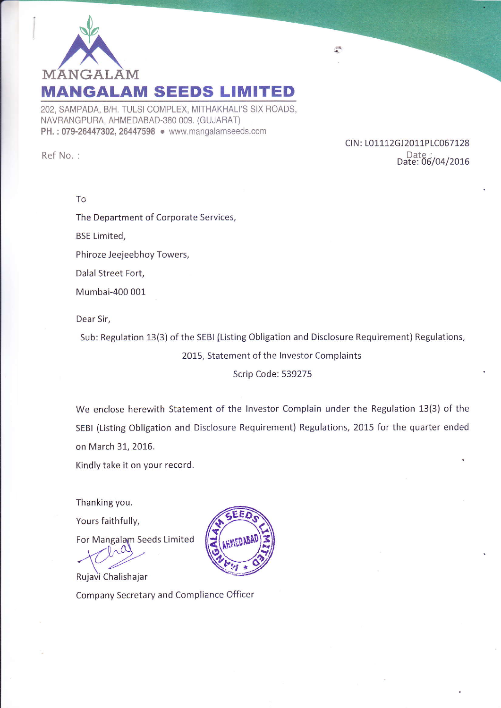

202, SAMPADA, B/H. TULSI COMPLEX, MITHAKHALI'S SIX ROADS, NAVRANGPURA, AHMEDABAD-380 009. (GUJARAT) PH.: 079-26447302, 26447598 . www.mangalamseeds.com

Ref No. :

CIN: L01112GJ2011PLC067128 Date Date: 06/04/2016

 $\frac{\partial \mathcal{R}}{\partial \mathbf{r}}$ 

To

The Department of Corporate Services,

BSE Limited,

Phiroze Jeejeebhoy Towers,

Dalal Street Fort,

Mumbai-400 001

Dear Sir,

Sub: Regulation 13(3) of the SEBI {Listing Obligation and Disclosure Requirement) Regulations,

2015, Statement of the lnvestor Complaints

### Scrip Code: 539275

We enclose herewith Statement of the lnvestor Complain under the Regulation 13(3) of the SEBI (Listing Obligation and Disclosure Requirement) Regulations, 2015 for the quarter ended on March 31, 2016.

Kindly take it on your record.

Thanking you.

Yours faithfully,

For Mangalam Seeds Limited

 $Y^{lag}$ 

Rujavi Chalishajar Company Secretary and Compliance Officer